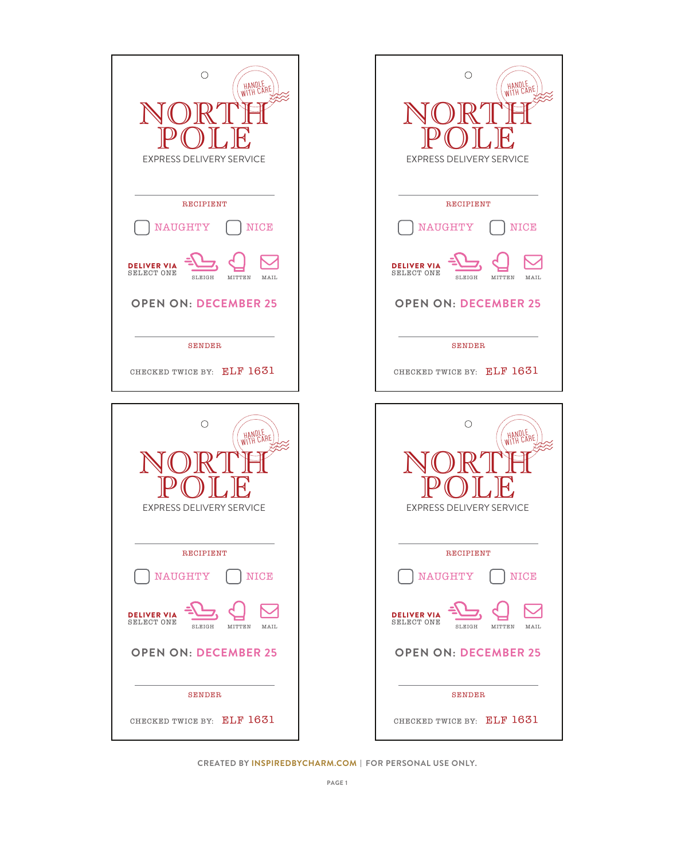

**CREATED BY INSPIREDBYCHARM.COM | FOR PERSONAL USE ONLY.**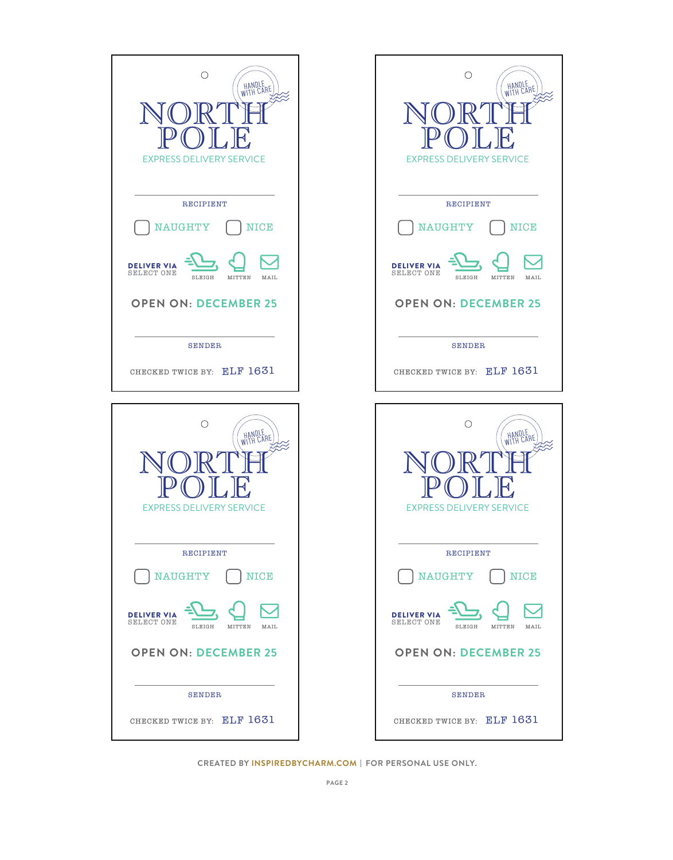| $\bigcirc$<br>HANDLE<br>WITH CARE<br>Н,<br><b>EXPRESS DELIVERY SERVICE</b>                             | O<br><b>EXPRESS DELIVERY SERVICE</b>                                             | HANDLE<br>WITH CARE<br>⊣`, |
|--------------------------------------------------------------------------------------------------------|----------------------------------------------------------------------------------|----------------------------|
| <b>RECIPIENT</b><br><b>NAUGHTY</b><br><b>NICE</b>                                                      | <b>RECIPIENT</b><br><b>NAUGHTY</b>                                               | <b>NICE</b>                |
| <b>LIVER VIA</b><br>DE<br><b>SELECT ONE</b><br>SLEIGH<br>MITTEN<br>MAIL<br><b>OPEN ON: DECEMBER 25</b> | <b>DELIVER VIA</b><br><b>SELECT ONE</b><br>SLEIGH<br><b>OPEN ON: DECEMBER 25</b> | MITTEN<br>MAIL             |
| <b>SENDER</b><br>CHECKED TWICE BY: ELF 1631                                                            | <b>SENDER</b><br>CHECKED TWICE BY: ELF 1631                                      |                            |
| О<br>HANDLE<br>WITH CARE                                                                               | O                                                                                | HANDLE<br>WITH CARE        |
| <b>EXPRESS DELIVERY SERVICE</b>                                                                        | <b>EXPRESS DELIVERY SERVICE</b>                                                  |                            |
| <b>RECIPIENT</b><br><b>NAUGHTY</b><br>NICE                                                             | <b>RECIPIENT</b><br><b>NAUGHTY</b>                                               | <b>NICE</b>                |
| LIVER VIA<br><b>SELECT ONE</b><br>SLEIGH<br>MITTEN<br>MAIL                                             | <b>DELIVER VIA</b><br><b>SELECT ONE</b><br>SLEIGH                                | MITTEN<br>MAIL             |
| <b>OPEN ON: DECEMBER 25</b>                                                                            | <b>OPEN ON: DECEMBER 25</b>                                                      |                            |

**CREATED BY INSPIREDBYCHARM.COM | FOR PERSONAL USE ONLY.**